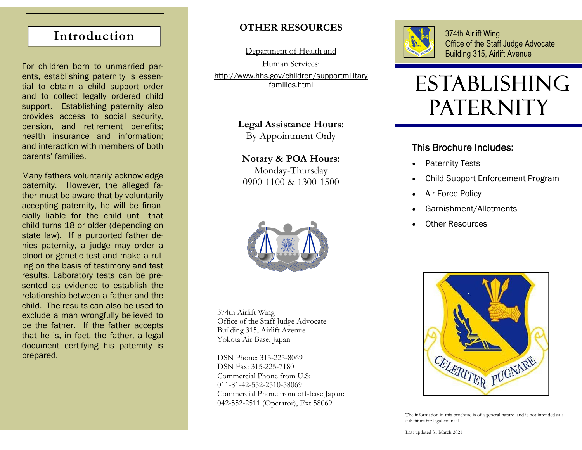# **Introduction**

For children born to unmarried parents, establishing paternity is essential to obtain a child support order and to collect legally ordered child support. Establishing paternity also provides access to social security, pension, and retirement benefits; health insurance and information; and interaction with members of both parents' families.

Many fathers voluntarily acknowledge paternity. However, the alleged father must be aware that by voluntarily accepting paternity, he will be financially liable for the child until that child turns 18 or older (depending on state law). If a purported father denies paternity, a judge may order a blood or genetic test and make a ruling on the basis of testimony and test results. Laboratory tests can be presented as evidence to establish the relationship between a father and the child. The results can also be used to exclude a man wrongfully believed to be the father. If the father accepts that he is, in fact, the father, a legal document certifying his paternity is prepared.

## **OTHER RESOURCES**

Department of Health and

Human Services: http://www.hhs.gov/children/supportmilitary families.html

> **Legal Assistance Hours:**  By Appointment Only

**Notary & POA Hours:**  Monday-Thursday 0900-1100 & 1300-1500



374th Airlift Wing Office of the Staff Judge Advocate Building 315, Airlift Avenue Yokota Air Base, Japan

DSN Phone: 315-225-8069 DSN Fax: 315-225-7180 Commercial Phone from U.S: 011-81-42-552-2510-58069 Commercial Phone from off-base Japan: 042-552-2511 (Operator), Ext 58069



374th Airlift Wing Office of the Staff Judge Advocate Building 315, Airlift Avenue

# ESTABLISHING PATERNITY

### This Brochure Includes:

- $\bullet$ Paternity Tests
- $\bullet$ Child Support Enforcement Program
- $\bullet$ Air Force Policy
- $\bullet$ Garnishment/Allotments
- $\bullet$ Other Resources



The information in this brochure is of a general nature and is not intended as a substitute for legal counsel.